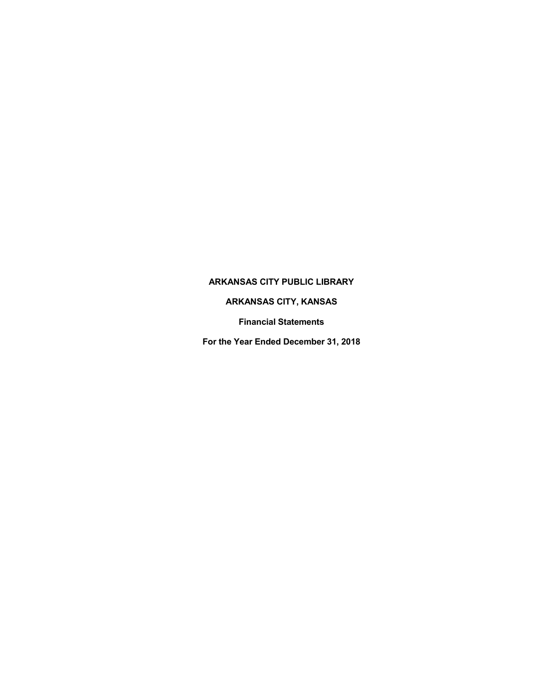# **ARKANSAS CITY PUBLIC LIBRARY**

# **ARKANSAS CITY, KANSAS**

**Financial Statements**

**For the Year Ended December 31, 2018**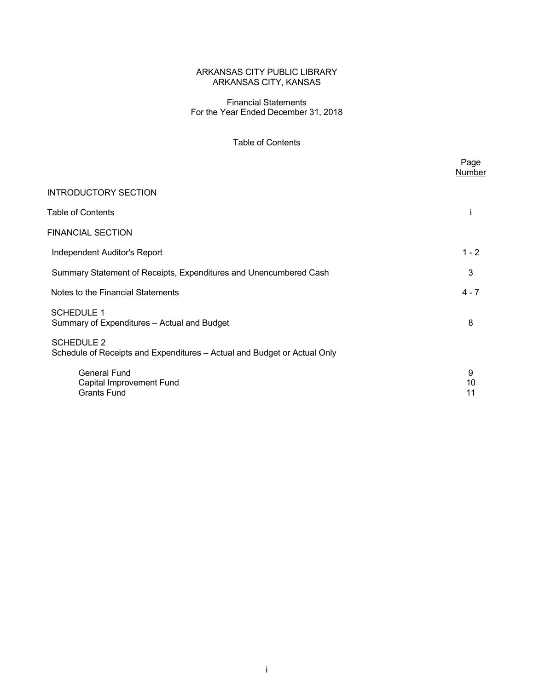# Financial Statements For the Year Ended December 31, 2018

# Table of Contents

|                                                                                               | Page<br>Number |
|-----------------------------------------------------------------------------------------------|----------------|
| <b>INTRODUCTORY SECTION</b>                                                                   |                |
| <b>Table of Contents</b>                                                                      |                |
| <b>FINANCIAL SECTION</b>                                                                      |                |
| Independent Auditor's Report                                                                  | $1 - 2$        |
| Summary Statement of Receipts, Expenditures and Unencumbered Cash                             | 3              |
| Notes to the Financial Statements                                                             | $4 - 7$        |
| <b>SCHEDULE 1</b><br>Summary of Expenditures - Actual and Budget                              | 8              |
| <b>SCHEDULE 2</b><br>Schedule of Receipts and Expenditures - Actual and Budget or Actual Only |                |
| <b>General Fund</b><br>Capital Improvement Fund<br><b>Grants Fund</b>                         | 9<br>10<br>11  |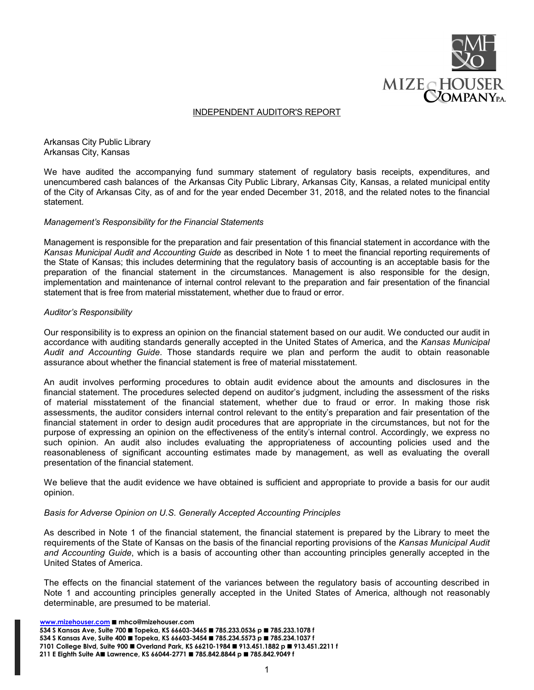

### INDEPENDENT AUDITOR'S REPORT

Arkansas City Public Library Arkansas City, Kansas

We have audited the accompanying fund summary statement of regulatory basis receipts, expenditures, and unencumbered cash balances of the Arkansas City Public Library, Arkansas City, Kansas, a related municipal entity of the City of Arkansas City, as of and for the year ended December 31, 2018, and the related notes to the financial statement.

#### *Management's Responsibility for the Financial Statements*

Management is responsible for the preparation and fair presentation of this financial statement in accordance with the *Kansas Municipal Audit and Accounting Guide* as described in Note 1 to meet the financial reporting requirements of the State of Kansas; this includes determining that the regulatory basis of accounting is an acceptable basis for the preparation of the financial statement in the circumstances. Management is also responsible for the design, implementation and maintenance of internal control relevant to the preparation and fair presentation of the financial statement that is free from material misstatement, whether due to fraud or error.

#### *Auditor's Responsibility*

Our responsibility is to express an opinion on the financial statement based on our audit. We conducted our audit in accordance with auditing standards generally accepted in the United States of America, and the *Kansas Municipal Audit and Accounting Guide*. Those standards require we plan and perform the audit to obtain reasonable assurance about whether the financial statement is free of material misstatement.

An audit involves performing procedures to obtain audit evidence about the amounts and disclosures in the financial statement. The procedures selected depend on auditor's judgment, including the assessment of the risks of material misstatement of the financial statement, whether due to fraud or error. In making those risk assessments, the auditor considers internal control relevant to the entity's preparation and fair presentation of the financial statement in order to design audit procedures that are appropriate in the circumstances, but not for the purpose of expressing an opinion on the effectiveness of the entity's internal control. Accordingly, we express no such opinion. An audit also includes evaluating the appropriateness of accounting policies used and the reasonableness of significant accounting estimates made by management, as well as evaluating the overall presentation of the financial statement.

We believe that the audit evidence we have obtained is sufficient and appropriate to provide a basis for our audit opinion.

### *Basis for Adverse Opinion on U.S. Generally Accepted Accounting Principles*

As described in Note 1 of the financial statement, the financial statement is prepared by the Library to meet the requirements of the State of Kansas on the basis of the financial reporting provisions of the *Kansas Municipal Audit and Accounting Guide*, which is a basis of accounting other than accounting principles generally accepted in the United States of America.

The effects on the financial statement of the variances between the regulatory basis of accounting described in Note 1 and accounting principles generally accepted in the United States of America, although not reasonably determinable, are presumed to be material.

**www.mizehouser.com mhco@mizehouser.com**

**534 S Kansas Ave, Suite 700 Topeka, KS 66603-3465 785.233.0536 p 785.233.1078 f**

**534 S Kansas Ave, Suite 400 Topeka, KS 66603-3454 785.234.5573 p 785.234.1037 f**

**7101 College Blvd, Suite 900 Overland Park, KS 66210-1984 913.451.1882 p 913.451.2211 f**

**211 E Eighth Suite A Lawrence, KS 66044-2771 785.842.8844 p 785.842.9049 f**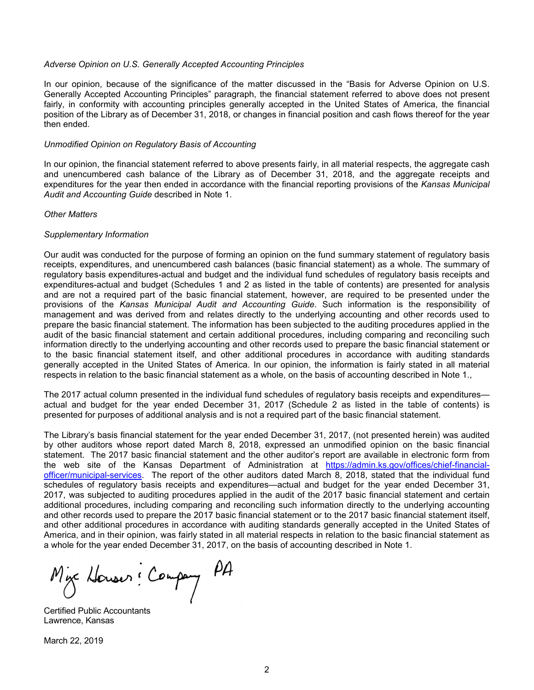#### *Adverse Opinion on U.S. Generally Accepted Accounting Principles*

In our opinion, because of the significance of the matter discussed in the "Basis for Adverse Opinion on U.S. Generally Accepted Accounting Principles" paragraph, the financial statement referred to above does not present fairly, in conformity with accounting principles generally accepted in the United States of America, the financial position of the Library as of December 31, 2018, or changes in financial position and cash flows thereof for the year then ended.

### *Unmodified Opinion on Regulatory Basis of Accounting*

In our opinion, the financial statement referred to above presents fairly, in all material respects, the aggregate cash and unencumbered cash balance of the Library as of December 31, 2018, and the aggregate receipts and expenditures for the year then ended in accordance with the financial reporting provisions of the *Kansas Municipal Audit and Accounting Guide* described in Note 1.

#### *Other Matters*

### *Supplementary Information*

Our audit was conducted for the purpose of forming an opinion on the fund summary statement of regulatory basis receipts, expenditures, and unencumbered cash balances (basic financial statement) as a whole. The summary of regulatory basis expenditures-actual and budget and the individual fund schedules of regulatory basis receipts and expenditures-actual and budget (Schedules 1 and 2 as listed in the table of contents) are presented for analysis and are not a required part of the basic financial statement, however, are required to be presented under the provisions of the *Kansas Municipal Audit and Accounting Guide*. Such information is the responsibility of management and was derived from and relates directly to the underlying accounting and other records used to prepare the basic financial statement. The information has been subjected to the auditing procedures applied in the audit of the basic financial statement and certain additional procedures, including comparing and reconciling such information directly to the underlying accounting and other records used to prepare the basic financial statement or to the basic financial statement itself, and other additional procedures in accordance with auditing standards generally accepted in the United States of America. In our opinion, the information is fairly stated in all material respects in relation to the basic financial statement as a whole, on the basis of accounting described in Note 1.,

The 2017 actual column presented in the individual fund schedules of regulatory basis receipts and expenditures actual and budget for the year ended December 31, 2017 (Schedule 2 as listed in the table of contents) is presented for purposes of additional analysis and is not a required part of the basic financial statement.

The Library's basis financial statement for the year ended December 31, 2017, (not presented herein) was audited by other auditors whose report dated March 8, 2018, expressed an unmodified opinion on the basic financial statement. The 2017 basic financial statement and the other auditor's report are available in electronic form from the web site of the Kansas Department of Administration at https://admin.ks.gov/offices/chief-financialofficer/municipal-services. The report of the other auditors dated March 8, 2018, stated that the individual fund schedules of regulatory basis receipts and expenditures—actual and budget for the year ended December 31, 2017, was subjected to auditing procedures applied in the audit of the 2017 basic financial statement and certain additional procedures, including comparing and reconciling such information directly to the underlying accounting and other records used to prepare the 2017 basic financial statement or to the 2017 basic financial statement itself, and other additional procedures in accordance with auditing standards generally accepted in the United States of America, and in their opinion, was fairly stated in all material respects in relation to the basic financial statement as a whole for the year ended December 31, 2017, on the basis of accounting described in Note 1.

Mige Houser : Company PA

Certified Public Accountants Lawrence, Kansas

March 22, 2019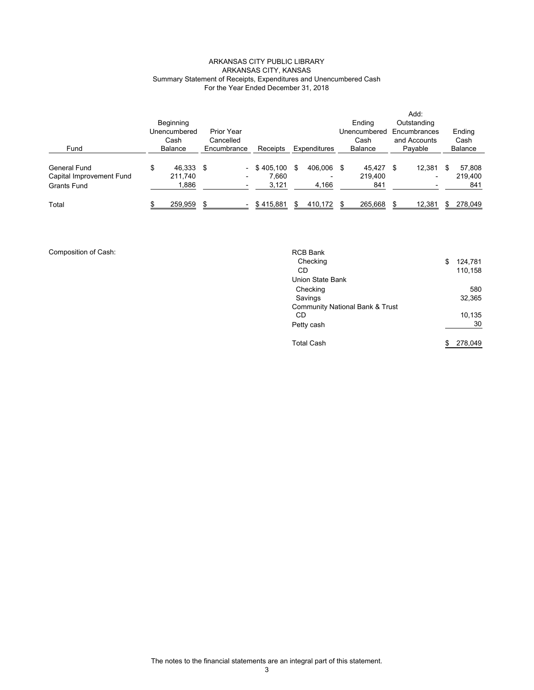#### ARKANSAS CITY, KANSAS ARKANSAS CITY PUBLIC LIBRARY Summary Statement of Receipts, Expenditures and Unencumbered Cash For the Year Ended December 31, 2018

|         |                                             |           |                                               |                         |         |              | Endina  |              |        |                                                                |                |
|---------|---------------------------------------------|-----------|-----------------------------------------------|-------------------------|---------|--------------|---------|--------------|--------|----------------------------------------------------------------|----------------|
|         |                                             |           |                                               |                         |         |              |         |              |        |                                                                | Ending         |
| Cash    |                                             |           |                                               |                         |         |              | Cash    |              |        |                                                                | Cash           |
|         |                                             |           | Receipts                                      |                         |         |              | Balance |              |        |                                                                | <b>Balance</b> |
|         |                                             |           |                                               |                         |         |              |         |              |        |                                                                |                |
| \$      |                                             |           |                                               | -S                      | 406.006 | \$           | 45.427  | S            | 12.381 | S                                                              | 57.808         |
| 211,740 |                                             | -         | 7.660                                         |                         |         |              | 219.400 |              |        |                                                                | 219,400        |
| 1,886   |                                             |           | 3,121                                         |                         | 4,166   |              | 841     |              |        |                                                                | 841            |
| 259,959 |                                             |           | \$415,881                                     |                         | 410.172 |              | 265.668 |              | 12.381 |                                                                | 278.049        |
|         | Beginning<br>Unencumbered<br><b>Balance</b> | 46,333 \$ | <b>Prior Year</b><br>Cancelled<br>Encumbrance | $-$ \$405,100<br>$\sim$ |         | Expenditures |         | Unencumbered |        | Add:<br>Outstanding<br>Encumbrances<br>and Accounts<br>Pavable |                |

Composition of Cash:

| <b>RCB Bank</b>                            |               |
|--------------------------------------------|---------------|
| Checking                                   | \$<br>124,781 |
| CD                                         | 110,158       |
| Union State Bank                           |               |
| Checking                                   | 580           |
| Savings                                    | 32,365        |
| <b>Community National Bank &amp; Trust</b> |               |
| CD                                         | 10,135        |
| Petty cash                                 | 30            |
|                                            |               |
| <b>Total Cash</b>                          | 278,049       |
|                                            |               |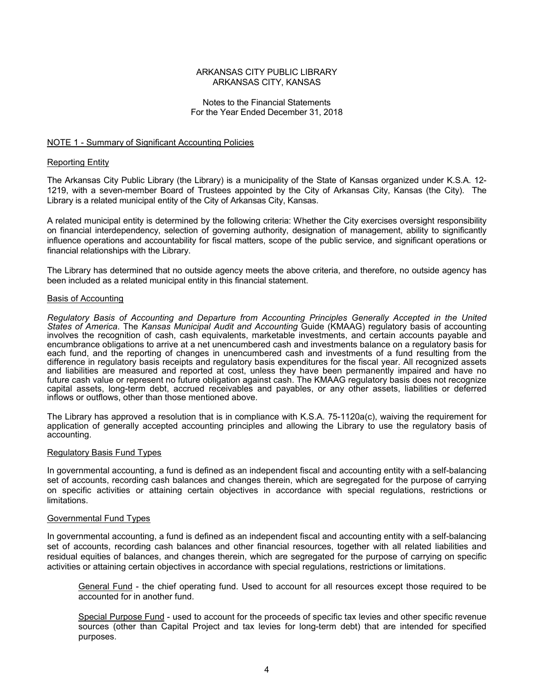### Notes to the Financial Statements For the Year Ended December 31, 2018

### NOTE 1 - Summary of Significant Accounting Policies

#### Reporting Entity

The Arkansas City Public Library (the Library) is a municipality of the State of Kansas organized under K.S.A. 12- 1219, with a seven-member Board of Trustees appointed by the City of Arkansas City, Kansas (the City). The Library is a related municipal entity of the City of Arkansas City, Kansas.

A related municipal entity is determined by the following criteria: Whether the City exercises oversight responsibility on financial interdependency, selection of governing authority, designation of management, ability to significantly influence operations and accountability for fiscal matters, scope of the public service, and significant operations or financial relationships with the Library.

The Library has determined that no outside agency meets the above criteria, and therefore, no outside agency has been included as a related municipal entity in this financial statement.

#### Basis of Accounting

*Regulatory Basis of Accounting and Departure from Accounting Principles Generally Accepted in the United States of America*. The *Kansas Municipal Audit and Accounting* Guide (KMAAG) regulatory basis of accounting involves the recognition of cash, cash equivalents, marketable investments, and certain accounts payable and encumbrance obligations to arrive at a net unencumbered cash and investments balance on a regulatory basis for each fund, and the reporting of changes in unencumbered cash and investments of a fund resulting from the difference in regulatory basis receipts and regulatory basis expenditures for the fiscal year. All recognized assets and liabilities are measured and reported at cost, unless they have been permanently impaired and have no future cash value or represent no future obligation against cash. The KMAAG regulatory basis does not recognize capital assets, long-term debt, accrued receivables and payables, or any other assets, liabilities or deferred inflows or outflows, other than those mentioned above.

The Library has approved a resolution that is in compliance with K.S.A. 75-1120a(c), waiving the requirement for application of generally accepted accounting principles and allowing the Library to use the regulatory basis of accounting.

#### Regulatory Basis Fund Types

In governmental accounting, a fund is defined as an independent fiscal and accounting entity with a self-balancing set of accounts, recording cash balances and changes therein, which are segregated for the purpose of carrying on specific activities or attaining certain objectives in accordance with special regulations, restrictions or limitations.

#### Governmental Fund Types

In governmental accounting, a fund is defined as an independent fiscal and accounting entity with a self-balancing set of accounts, recording cash balances and other financial resources, together with all related liabilities and residual equities of balances, and changes therein, which are segregated for the purpose of carrying on specific activities or attaining certain objectives in accordance with special regulations, restrictions or limitations.

General Fund - the chief operating fund. Used to account for all resources except those required to be accounted for in another fund.

Special Purpose Fund - used to account for the proceeds of specific tax levies and other specific revenue sources (other than Capital Project and tax levies for long-term debt) that are intended for specified purposes.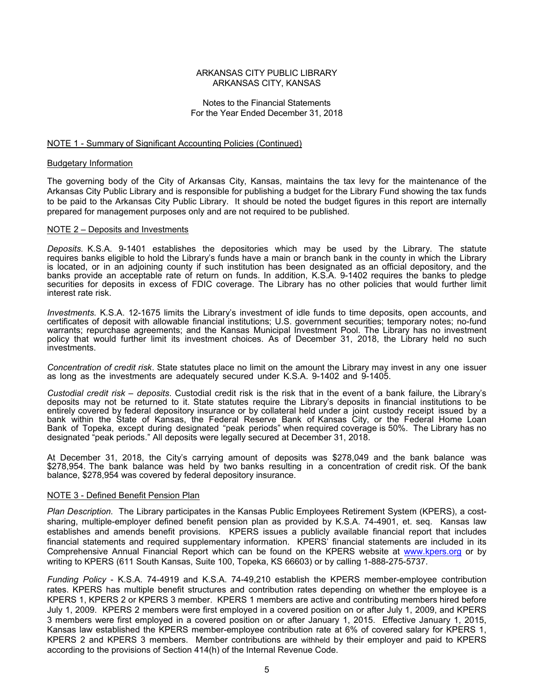### Notes to the Financial Statements For the Year Ended December 31, 2018

#### NOTE 1 - Summary of Significant Accounting Policies (Continued)

#### Budgetary Information

The governing body of the City of Arkansas City, Kansas, maintains the tax levy for the maintenance of the Arkansas City Public Library and is responsible for publishing a budget for the Library Fund showing the tax funds to be paid to the Arkansas City Public Library. It should be noted the budget figures in this report are internally prepared for management purposes only and are not required to be published.

#### NOTE 2 – Deposits and Investments

*Deposits.* K.S.A. 9-1401 establishes the depositories which may be used by the Library. The statute requires banks eligible to hold the Library's funds have a main or branch bank in the county in which the Library is located, or in an adjoining county if such institution has been designated as an official depository, and the banks provide an acceptable rate of return on funds. In addition, K.S.A. 9-1402 requires the banks to pledge securities for deposits in excess of FDIC coverage. The Library has no other policies that would further limit interest rate risk.

*Investments.* K.S.A. 12-1675 limits the Library's investment of idle funds to time deposits, open accounts, and certificates of deposit with allowable financial institutions; U.S. government securities; temporary notes; no-fund warrants; repurchase agreements; and the Kansas Municipal Investment Pool. The Library has no investment policy that would further limit its investment choices. As of December 31, 2018, the Library held no such investments.

*Concentration of credit risk*. State statutes place no limit on the amount the Library may invest in any one issuer as long as the investments are adequately secured under K.S.A. 9-1402 and 9-1405.

*Custodial credit risk – deposits*. Custodial credit risk is the risk that in the event of a bank failure, the Library's deposits may not be returned to it. State statutes require the Library's deposits in financial institutions to be entirely covered by federal depository insurance or by collateral held under a joint custody receipt issued by a bank within the State of Kansas, the Federal Reserve Bank of Kansas City, or the Federal Home Loan Bank of Topeka, except during designated "peak periods" when required coverage is 50%. The Library has no designated "peak periods." All deposits were legally secured at December 31, 2018.

At December 31, 2018, the City's carrying amount of deposits was \$278,049 and the bank balance was \$278,954. The bank balance was held by two banks resulting in a concentration of credit risk. Of the bank balance, \$278,954 was covered by federal depository insurance.

#### NOTE 3 - Defined Benefit Pension Plan

*Plan Description.* The Library participates in the Kansas Public Employees Retirement System (KPERS), a costsharing, multiple-employer defined benefit pension plan as provided by K.S.A. 74-4901, et. seq. Kansas law establishes and amends benefit provisions. KPERS issues a publicly available financial report that includes financial statements and required supplementary information. KPERS' financial statements are included in its Comprehensive Annual Financial Report which can be found on the KPERS website at www.kpers.org or by writing to KPERS (611 South Kansas, Suite 100, Topeka, KS 66603) or by calling 1-888-275-5737.

*Funding Policy* - K.S.A. 74-4919 and K.S.A. 74-49,210 establish the KPERS member-employee contribution rates. KPERS has multiple benefit structures and contribution rates depending on whether the employee is a KPERS 1, KPERS 2 or KPERS 3 member. KPERS 1 members are active and contributing members hired before July 1, 2009. KPERS 2 members were first employed in a covered position on or after July 1, 2009, and KPERS 3 members were first employed in a covered position on or after January 1, 2015. Effective January 1, 2015, Kansas law established the KPERS member-employee contribution rate at 6% of covered salary for KPERS 1, KPERS 2 and KPERS 3 members. Member contributions are withheld by their employer and paid to KPERS according to the provisions of Section 414(h) of the Internal Revenue Code.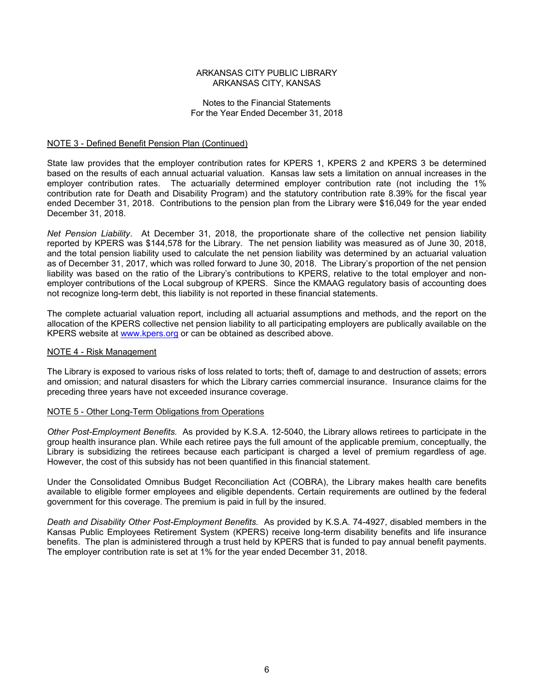### Notes to the Financial Statements For the Year Ended December 31, 2018

### NOTE 3 - Defined Benefit Pension Plan (Continued)

State law provides that the employer contribution rates for KPERS 1, KPERS 2 and KPERS 3 be determined based on the results of each annual actuarial valuation. Kansas law sets a limitation on annual increases in the employer contribution rates. The actuarially determined employer contribution rate (not including the 1% contribution rate for Death and Disability Program) and the statutory contribution rate 8.39% for the fiscal year ended December 31, 2018. Contributions to the pension plan from the Library were \$16,049 for the year ended December 31, 2018.

*Net Pension Liability*. At December 31, 2018, the proportionate share of the collective net pension liability reported by KPERS was \$144,578 for the Library. The net pension liability was measured as of June 30, 2018, and the total pension liability used to calculate the net pension liability was determined by an actuarial valuation as of December 31, 2017, which was rolled forward to June 30, 2018. The Library's proportion of the net pension liability was based on the ratio of the Library's contributions to KPERS, relative to the total employer and nonemployer contributions of the Local subgroup of KPERS. Since the KMAAG regulatory basis of accounting does not recognize long-term debt, this liability is not reported in these financial statements.

The complete actuarial valuation report, including all actuarial assumptions and methods, and the report on the allocation of the KPERS collective net pension liability to all participating employers are publically available on the KPERS website at www.kpers.org or can be obtained as described above.

#### NOTE 4 - Risk Management

The Library is exposed to various risks of loss related to torts; theft of, damage to and destruction of assets; errors and omission; and natural disasters for which the Library carries commercial insurance. Insurance claims for the preceding three years have not exceeded insurance coverage.

### NOTE 5 - Other Long-Term Obligations from Operations

*Other Post-Employment Benefits.* As provided by K.S.A. 12-5040, the Library allows retirees to participate in the group health insurance plan. While each retiree pays the full amount of the applicable premium, conceptually, the Library is subsidizing the retirees because each participant is charged a level of premium regardless of age. However, the cost of this subsidy has not been quantified in this financial statement.

Under the Consolidated Omnibus Budget Reconciliation Act (COBRA), the Library makes health care benefits available to eligible former employees and eligible dependents. Certain requirements are outlined by the federal government for this coverage. The premium is paid in full by the insured.

*Death and Disability Other Post-Employment Benefits.* As provided by K.S.A. 74-4927, disabled members in the Kansas Public Employees Retirement System (KPERS) receive long-term disability benefits and life insurance benefits. The plan is administered through a trust held by KPERS that is funded to pay annual benefit payments. The employer contribution rate is set at 1% for the year ended December 31, 2018.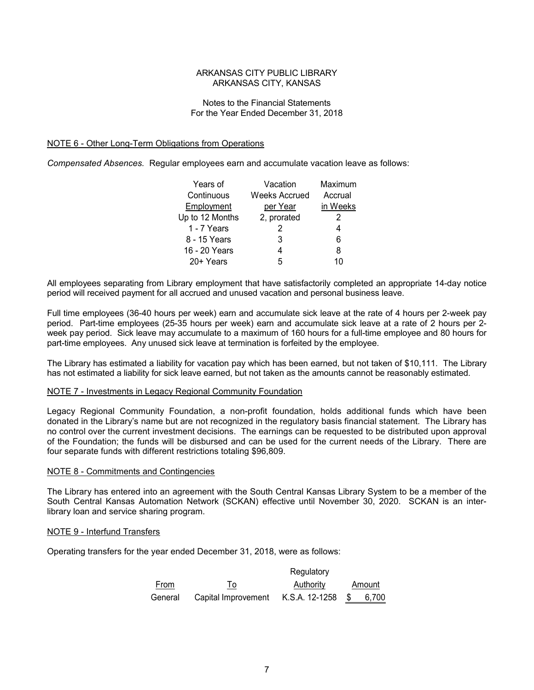### Notes to the Financial Statements For the Year Ended December 31, 2018

### NOTE 6 - Other Long-Term Obligations from Operations

*Compensated Absences.* Regular employees earn and accumulate vacation leave as follows:

| Years of        | Vacation      | Maximum  |
|-----------------|---------------|----------|
| Continuous      | Weeks Accrued | Accrual  |
| Employment      | per Year      | in Weeks |
| Up to 12 Months | 2, prorated   | 2        |
| 1 - 7 Years     | 2             |          |
| 8 - 15 Years    | 3             | 6        |
| 16 - 20 Years   |               | 8        |
| 20+ Years       | 5             | 10       |

All employees separating from Library employment that have satisfactorily completed an appropriate 14-day notice period will received payment for all accrued and unused vacation and personal business leave.

Full time employees (36-40 hours per week) earn and accumulate sick leave at the rate of 4 hours per 2-week pay period. Part-time employees (25-35 hours per week) earn and accumulate sick leave at a rate of 2 hours per 2 week pay period. Sick leave may accumulate to a maximum of 160 hours for a full-time employee and 80 hours for part-time employees. Any unused sick leave at termination is forfeited by the employee.

The Library has estimated a liability for vacation pay which has been earned, but not taken of \$10,111. The Library has not estimated a liability for sick leave earned, but not taken as the amounts cannot be reasonably estimated.

#### NOTE 7 - Investments in Legacy Regional Community Foundation

Legacy Regional Community Foundation, a non-profit foundation, holds additional funds which have been donated in the Library's name but are not recognized in the regulatory basis financial statement. The Library has no control over the current investment decisions. The earnings can be requested to be distributed upon approval of the Foundation; the funds will be disbursed and can be used for the current needs of the Library. There are four separate funds with different restrictions totaling \$96,809.

#### NOTE 8 - Commitments and Contingencies

The Library has entered into an agreement with the South Central Kansas Library System to be a member of the South Central Kansas Automation Network (SCKAN) effective until November 30, 2020. SCKAN is an interlibrary loan and service sharing program.

### NOTE 9 - Interfund Transfers

Operating transfers for the year ended December 31, 2018, were as follows:

|         |                                       | Regulatory |        |
|---------|---------------------------------------|------------|--------|
| From    | To                                    | Authority  | Amount |
| General | Capital Improvement K.S.A. 12-1258 \$ |            | 6.700  |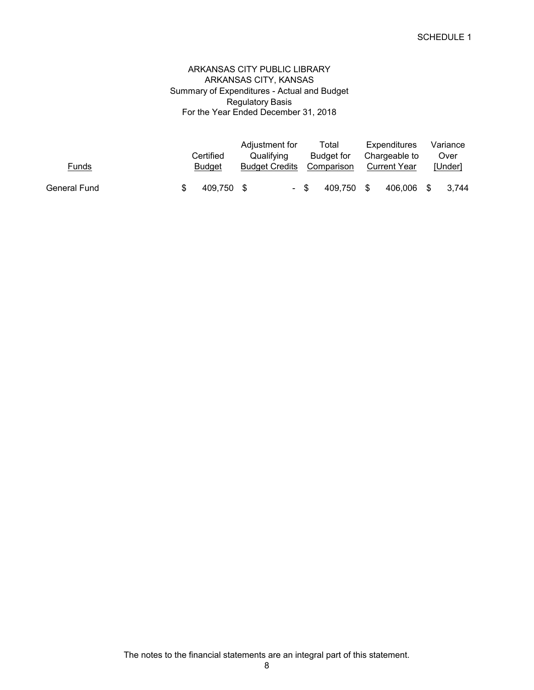# Summary of Expenditures - Actual and Budget Regulatory Basis ARKANSAS CITY PUBLIC LIBRARY For the Year Ended December 31, 2018 ARKANSAS CITY, KANSAS

|                     |            | Adjustment for        | Total             | <b>Expenditures</b> | Variance      |
|---------------------|------------|-----------------------|-------------------|---------------------|---------------|
|                     | Certified  | Qualifving            | <b>Budget</b> for | Chargeable to       | Over          |
| <b>Funds</b>        | Budget     | <b>Budget Credits</b> | Comparison        | Current Year        | [Under]       |
| <b>General Fund</b> | 409.750 \$ |                       | 409.750<br>- \$   | 406,006<br>- \$     | 3.744<br>- \$ |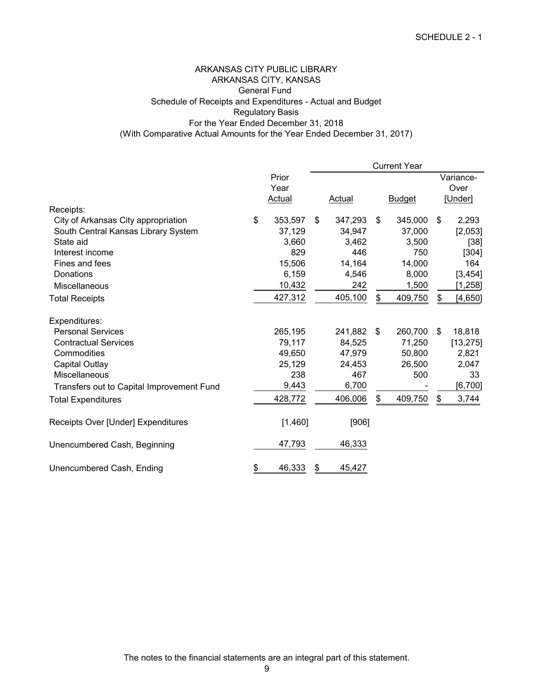# (With Comparative Actual Amounts for the Year Ended December 31, 2017) ARKANSAS CITY PUBLIC LIBRARY ARKANSAS CITY, KANSAS General Fund Schedule of Receipts and Expenditures - Actual and Budget For the Year Ended December 31, 2018 Regulatory Basis

|                                           | <b>Current Year</b>     |    |         |    |               |    |                              |
|-------------------------------------------|-------------------------|----|---------|----|---------------|----|------------------------------|
|                                           | Prior<br>Year<br>Actual |    | Actual  |    | <b>Budget</b> |    | Variance-<br>Over<br>[Under] |
| Receipts:                                 |                         |    |         |    |               |    |                              |
| City of Arkansas City appropriation       | \$<br>353,597           | \$ | 347,293 | \$ | 345,000       | \$ | 2,293                        |
| South Central Kansas Library System       | 37,129                  |    | 34,947  |    | 37,000        |    | [2,053]                      |
| State aid                                 | 3,660                   |    | 3,462   |    | 3,500         |    | $[38]$                       |
| Interest income                           | 829                     |    | 446     |    | 750           |    | $[304]$                      |
| Fines and fees                            | 15,506                  |    | 14,164  |    | 14,000        |    | 164                          |
| Donations                                 | 6,159                   |    | 4,546   |    | 8,000         |    | [3, 454]                     |
| Miscellaneous                             | 10,432                  |    | 242     |    | 1,500         |    | [1,258]                      |
| <b>Total Receipts</b>                     | 427,312                 |    | 405,100 | \$ | 409,750       | \$ | [4, 650]                     |
| Expenditures:                             |                         |    |         |    |               |    |                              |
| <b>Personal Services</b>                  | 265,195                 |    | 241,882 | \$ | 260,700       | \$ | 18,818                       |
| <b>Contractual Services</b>               | 79,117                  |    | 84,525  |    | 71,250        |    | [13, 275]                    |
| Commodities                               | 49,650                  |    | 47,979  |    | 50,800        |    | 2,821                        |
| <b>Capital Outlay</b>                     | 25,129                  |    | 24,453  |    | 26,500        |    | 2,047                        |
| Miscellaneous                             | 238                     |    | 467     |    | 500           |    | 33                           |
| Transfers out to Capital Improvement Fund | 9,443                   |    | 6,700   |    |               |    | [6,700]                      |
| <b>Total Expenditures</b>                 | 428,772                 |    | 406,006 | \$ | 409,750       | \$ | 3,744                        |
| Receipts Over [Under] Expenditures        | [1,460]                 |    | [906]   |    |               |    |                              |
| Unencumbered Cash, Beginning              | 47,793                  |    | 46,333  |    |               |    |                              |
| Unencumbered Cash, Ending                 | \$<br>46,333            | \$ | 45,427  |    |               |    |                              |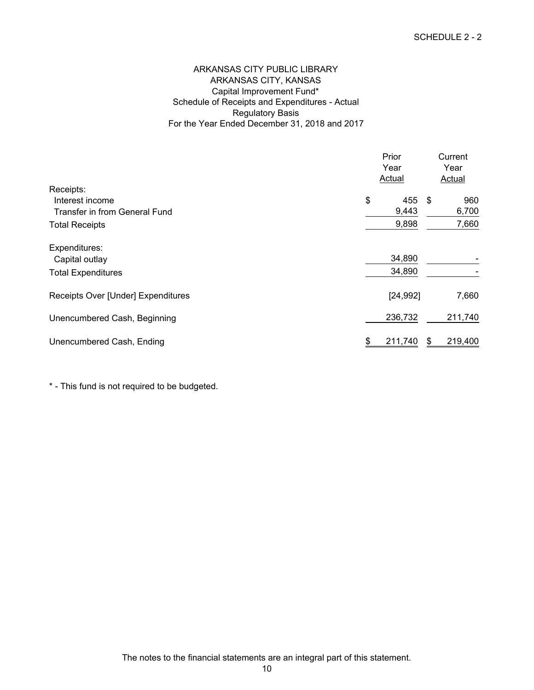# ARKANSAS CITY PUBLIC LIBRARY ARKANSAS CITY, KANSAS Capital Improvement Fund\* Schedule of Receipts and Expenditures - Actual Regulatory Basis For the Year Ended December 31, 2018 and 2017

|                                    | Prior<br>Year<br>Actual |           |     | Current<br>Year<br>Actual |  |  |
|------------------------------------|-------------------------|-----------|-----|---------------------------|--|--|
| Receipts:                          |                         |           |     |                           |  |  |
| Interest income                    | \$                      | 455       | -\$ | 960                       |  |  |
| Transfer in from General Fund      |                         | 9,443     |     | 6,700                     |  |  |
| <b>Total Receipts</b>              |                         | 9,898     |     | 7,660                     |  |  |
| Expenditures:                      |                         |           |     |                           |  |  |
| Capital outlay                     |                         | 34,890    |     |                           |  |  |
| <b>Total Expenditures</b>          |                         | 34,890    |     |                           |  |  |
| Receipts Over [Under] Expenditures |                         | [24, 992] |     | 7,660                     |  |  |
| Unencumbered Cash, Beginning       |                         | 236,732   |     | 211,740                   |  |  |
| Unencumbered Cash, Ending          | \$                      | 211,740   | \$  | 219,400                   |  |  |

\* - This fund is not required to be budgeted.